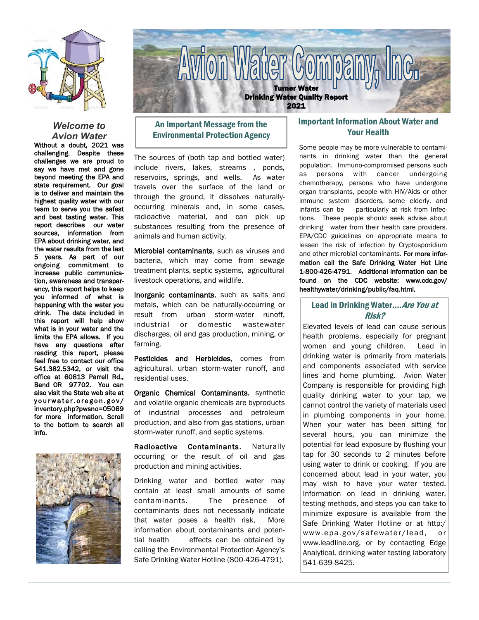

### *Welcome to Avion Water*

Without a doubt, 2021 was challenging. Despite these challenges we are proud to say we have met and gone beyond meeting the EPA and state requirement. Our goal is to deliver and maintain the highest quality water with our team to serve you the safest and best tasting water. This report describes our water sources, information from EPA about drinking water, and the water results from the last 5 years. As part of our ongoing commitment to increase public communication, awareness and transparency, this report helps to keep you informed of what is happening with the water you drink. The data included in this report will help show what is in your water and the limits the EPA allows. If you have any questions after reading this report, please feel free to contact our office 541.382.5342, or visit the office at 60813 Parrell Rd., Bend OR 97702. You can also visit the State web site at yourwater.oregon.gov/ inventory.php?pwsno=05069 for more information. Scroll to the bottom to search all info.





# An Important Message from the Environmental Protection Agency

The sources of (both tap and bottled water) include rivers, lakes, streams , ponds, reservoirs, springs, and wells. As water travels over the surface of the land or through the ground, it dissolves naturallyoccurring minerals and, in some cases, radioactive material, and can pick up substances resulting from the presence of animals and human activity.

Microbial contaminants, such as viruses and bacteria, which may come from sewage treatment plants, septic systems, agricultural livestock operations, and wildlife.

Inorganic contaminants, such as salts and metals, which can be naturally-occurring or result from urban storm-water runoff, industrial or domestic wastewater discharges, oil and gas production, mining, or farming.

Pesticides and Herbicides, comes from agricultural, urban storm-water runoff, and residential uses.

Organic Chemical Contaminants, synthetic and volatile organic chemicals are byproducts of industrial processes and petroleum production, and also from gas stations, urban storm-water runoff, and septic systems.

Radioactive Contaminants, Naturally occurring or the result of oil and gas production and mining activities.

Drinking water and bottled water may contain at least small amounts of some contaminants. The presence of contaminants does not necessarily indicate that water poses a health risk, More information about contaminants and potential health effects can be obtained by calling the Environmental Protection Agency's Safe Drinking Water Hotline (800-426-4791).

## Important Information About Water and Your Health

Some people may be more vulnerable to contaminants in drinking water than the general population. Immuno-compromised persons such as persons with cancer undergoing chemotherapy, persons who have undergone organ transplants, people with HIV/Aids or other immune system disorders, some elderly, and infants can be particularly at risk from Infections. These people should seek advise about drinking water from their health care providers. EPA/CDC guidelines on appropriate means to lessen the risk of infection by Cryptosporidium and other microbial contaminants. For more information call the Safe Drinking Water Hot Line 1-800-426-4791. Additional information can be found on the CDC website: www.cdc.gov/ healthywater/drinking/public/faq.html.

## Lead in Drinking Water.... Are You at Risk?

Elevated levels of lead can cause serious health problems, especially for pregnant women and young children. Lead in drinking water is primarily from materials and components associated with service lines and home plumbing. Avion Water Company is responsible for providing high quality drinking water to your tap, we cannot control the variety of materials used in plumbing components in your home. When your water has been sitting for several hours, you can minimize the potential for lead exposure by flushing your tap for 30 seconds to 2 minutes before using water to drink or cooking. If you are concerned about lead in your water, you may wish to have your water tested. Information on lead in drinking water, testing methods, and steps you can take to minimize exposure is available from the Safe Drinking Water Hotline or at http:/ www.epa.gov/safewater/lead, or www.leadline.org, or by contacting Edge Analytical, drinking water testing laboratory 541-639-8425.